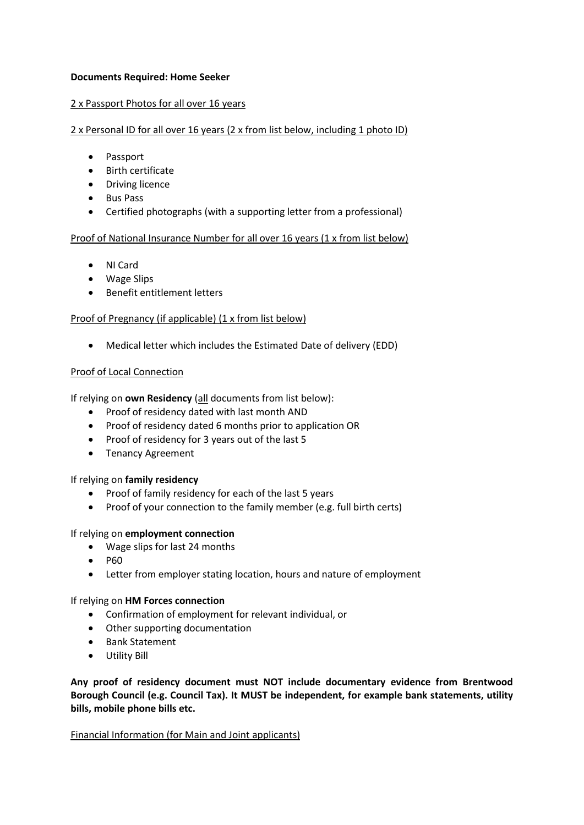## **Documents Required: Home Seeker**

## 2 x Passport Photos for all over 16 years

## 2 x Personal ID for all over 16 years (2 x from list below, including 1 photo ID)

- Passport
- Birth certificate
- Driving licence
- Bus Pass
- Certified photographs (with a supporting letter from a professional)

# Proof of National Insurance Number for all over 16 years (1 x from list below)

- NI Card
- Wage Slips
- Benefit entitlement letters

## Proof of Pregnancy (if applicable) (1 x from list below)

• Medical letter which includes the Estimated Date of delivery (EDD)

## Proof of Local Connection

If relying on **own Residency** (all documents from list below):

- Proof of residency dated with last month AND
- Proof of residency dated 6 months prior to application OR
- Proof of residency for 3 years out of the last 5
- Tenancy Agreement

#### If relying on **family residency**

- Proof of family residency for each of the last 5 years
- Proof of your connection to the family member (e.g. full birth certs)

#### If relying on **employment connection**

- Wage slips for last 24 months
- P60
- Letter from employer stating location, hours and nature of employment

#### If relying on **HM Forces connection**

- Confirmation of employment for relevant individual, or
- Other supporting documentation
- Bank Statement
- Utility Bill

**Any proof of residency document must NOT include documentary evidence from Brentwood Borough Council (e.g. Council Tax). It MUST be independent, for example bank statements, utility bills, mobile phone bills etc.**

#### Financial Information (for Main and Joint applicants)